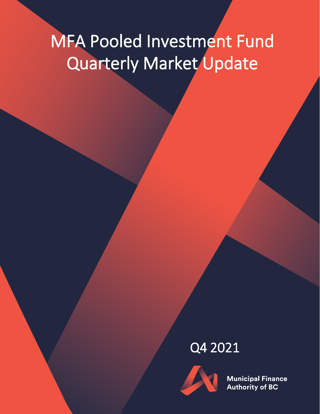# MFA Pooled Investment Fund Quarterly Market Update

## Q4 2021



**Municipal Finance Authority of BC**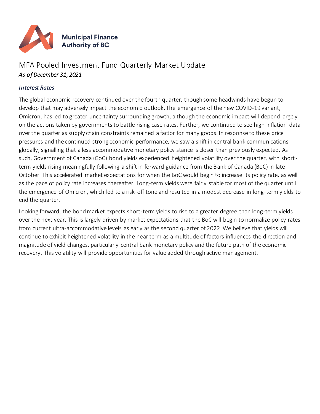

### MFA Pooled Investment Fund Quarterly Market Update *As of December 31, 2021*

#### *Interest Rates*

The global economic recovery continued over the fourth quarter, though some headwinds have begun to develop that may adversely impact the economic outlook. The emergence of the new COVID-19 variant, Omicron, has led to greater uncertainty surrounding growth, although the economic impact will depend largely on the actions taken by governments to battle rising case rates. Further, we continued to see high inflation data over the quarter as supply chain constraints remained a factor for many goods. In response to these price pressures and the continued strong economic performance, we saw a shift in central bank communications globally, signalling that a less accommodative monetary policy stance is closer than previously expected. As such, Government of Canada (GoC) bond yields experienced heightened volatility over the quarter, with shortterm yields rising meaningfully following a shift in forward guidance from the Bank of Canada (BoC) in late October. This accelerated market expectations for when the BoC would begin to increase its policy rate, as well as the pace of policy rate increases thereafter. Long-term yields were fairly stable for most of the quarter until the emergence of Omicron, which led to a risk-off tone and resulted in a modest decrease in long-term yields to end the quarter.

Looking forward, the bond market expects short-term yields to rise to a greater degree than long-term yields over the next year. This is largely driven by market expectations that the BoC will begin to normalize policy rates from current ultra-accommodative levels as early as the second quarter of 2022. We believe that yields will continue to exhibit heightened volatility in the near term as a multitude of factors influences the direction and magnitude of yield changes, particularly central bank monetary policy and the future path of the economic recovery. This volatility will provide opportunities for value added through active management.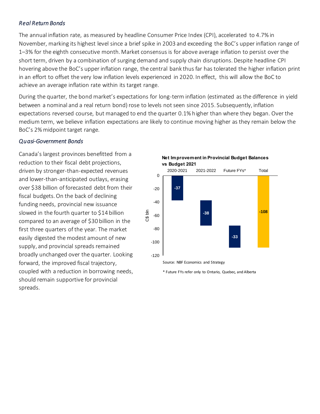#### *Real Return Bonds*

The annual inflation rate, as measured by headline Consumer Price Index (CPI), accelerated to 4.7% in November, marking its highest level since a brief spike in 2003 and exceeding the BoC's upper inflation range of 1–3% for the eighth consecutive month. Market consensus is for above average inflation to persist over the short term, driven by a combination of surging demand and supply chain disruptions. Despite headline CPI hovering above the BoC's upper inflation range, the central bank thus far has tolerated the higher inflation print in an effort to offset the very low inflation levels experienced in 2020. In effect, this will allow the BoC to achieve an average inflation rate within its target range.

During the quarter, the bond market's expectations for long-term inflation (estimated as the difference in yield between a nominal and a real return bond) rose to levels not seen since 2015. Subsequently, inflation expectations reversed course, but managed to end the quarter 0.1% higher than where they began. Over the medium term, we believe inflation expectations are likely to continue moving higher as they remain below the BoC's 2% midpoint target range.

#### *Quasi-Government Bonds*

Canada's largest provinces benefitted from a reduction to their fiscal debt projections, driven by stronger-than-expected revenues and lower-than-anticipated outlays, erasing over \$38 billion of forecasted debt from their fiscal budgets. On the back of declining funding needs, provincial new issuance slowed in the fourth quarter to \$14 billion compared to an average of \$30 billion in the first three quarters of the year. The market easily digested the modest amount of new supply, and provincial spreads remained broadly unchanged over the quarter. Looking forward, the improved fiscal trajectory, coupled with a reduction in borrowing needs, should remain supportive for provincial spreads.

**Net Improvement in Provincial Budget Balances vs Budget 2021**



Source: NBF Economics and Strategy

\* Future FYs refer only to Ontario, Quebec, and Alberta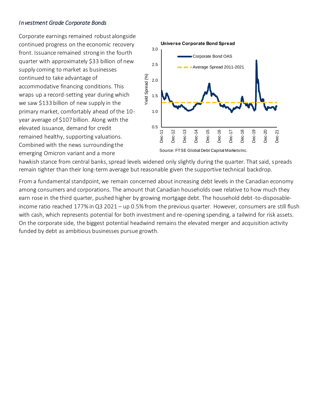#### *Investment Grade Corporate Bonds*

Corporate earnings remained robust alongside continued progress on the economic recovery front. Issuance remained strong in the fourth quarter with approximately \$33 billion of new supply coming to market as businesses continued to take advantage of accommodative financing conditions. This wraps up a record-setting year during which we saw \$133 billion of new supply in the primary market, comfortably ahead of the 10 year average of \$107 billion. Along with the elevated issuance, demand for credit remained healthy, supporting valuations. Combined with the news surrounding the emerging Omicron variant and a more



hawkish stance from central banks, spread levels widened only slightly during the quarter. That said, spreads remain tighter than their long-term average but reasonable given the supportive technical backdrop.

From a fundamental standpoint, we remain concerned about increasing debt levels in the Canadian economy among consumers and corporations. The amount that Canadian households owe relative to how much they earn rose in the third quarter, pushed higher by growing mortgage debt. The household debt-to-disposableincome ratio reached 177% in Q3 2021 – up 0.5% from the previous quarter. However, consumers are still flush with cash, which represents potential for both investment and re-opening spending, a tailwind for risk assets. On the corporate side, the biggest potential headwind remains the elevated merger and acquisition activity funded by debt as ambitious businesses pursue growth.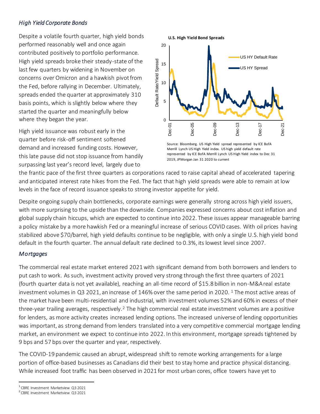#### *High Yield Corporate Bonds*

Despite a volatile fourth quarter, high yield bonds performed reasonably well and once again contributed positively to portfolio performance. High yield spreads broke their steady-state of the last few quarters by widening in November on concerns over Omicron and a hawkish pivot from the Fed, before rallying in December. Ultimately, spreads ended the quarter at approximately 310 basis points, which is slightly below where they started the quarter and meaningfully below where they began the year.

High yield issuance was robust early in the quarter before risk-off sentiment softened demand and increased funding costs. However, this late pause did not stop issuance from handily surpassing last year's record level, largely due to



Source: Bloomberg. US High Yield spread represented by ICE BofA Merrill Lynch US High Yield index. US high yield default rate represented by ICE BofA Merrill Lynch US High Yield index to Dec 31 2019, JPMorgan Jan 31 2020 to current

the frantic pace of the first three quarters as corporations raced to raise capital ahead of accelerated tapering and anticipated interest rate hikes from the Fed. The fact that high yield spreads were able to remain at low levels in the face of record issuance speaks to strong investor appetite for yield.

Despite ongoing supply chain bottlenecks, corporate earnings were generally strong across high yield issuers, with more surprising to the upside than the downside. Companies expressed concerns about cost inflation and global supply chain hiccups, which are expected to continue into 2022. These issues appear manageable barring a policy mistake by a more hawkish Fed or a meaningful increase of serious COVID cases. With oil prices having stabilized above \$70/barrel, high yield defaults continue to be negligible, with only a single U.S. high yield bond default in the fourth quarter. The annual default rate declined to 0.3%, its lowest level since 2007.

#### *Mortgages*

The commercial real estate market entered 2021 with significant demand from both borrowers and lenders to put cash to work. As such, investment activity proved very strong through the first three quarters of 2021 (fourth quarter data is not yet available), reaching an all-time record of \$15.8 billion in non-M&A real estate investment volumes in Q3 2021, an increase of 146% over the same period in 2020. <sup>1</sup> The most active areas of the market have been multi-residential and industrial, with investment volumes 52% and 60% in excess of their three-year trailing averages, respectively.<sup>2</sup> The high commercial real estate investment volumes are a positive for lenders, as more activity creates increased lending options. The increased universe of lending opportunities was important, as strong demand from lenders translated into a very competitive commercial mortgage lending market, an environment we expect to continue into 2022. In this environment, mortgage spreads tightened by 9 bps and 57 bps over the quarter and year, respectively.

The COVID-19 pandemic caused an abrupt, widespread shift to remote working arrangements for a large portion of office-based businesses as Canadians did their best to stay home and practice physical distancing. While increased foot traffic has been observed in 2021 for most urban cores, office towers have yet to

 $\overline{a}$ 1 CBRE Investment Marketview Q3 2021

<sup>2</sup> CBRE Investment Marketview Q3 2021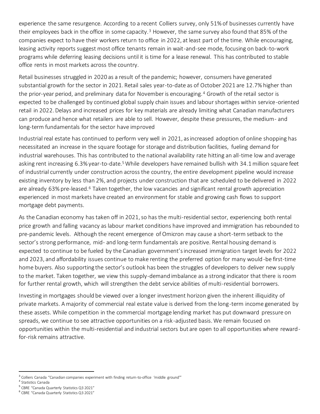experience the same resurgence. According to a recent Colliers survey, only 51% of businesses currently have their employees back in the office in some capacity.<sup>3</sup> However, the same survey also found that 85% of the companies expect to have their workers return to office in 2022, at least part of the time. While encouraging, leasing activity reports suggest most office tenants remain in wait-and-see mode, focusing on back-to-work programs while deferring leasing decisions until it is time for a lease renewal. This has contributed to stable office rents in most markets across the country.

Retail businesses struggled in 2020 as a result of the pandemic; however, consumers have generated substantial growth for the sector in 2021. Retail sales year-to-date as of October 2021 are 12.7% higher than the prior-year period, and preliminary data for November is encouraging.<sup>4</sup> Growth of the retail sector is expected to be challenged by continued global supply chain issues and labour shortages within service-oriented retail in 2022. Delays and increased prices for key materials are already limiting what Canadian manufacturers can produce and hence what retailers are able to sell. However, despite these pressures, the medium- and long-term fundamentals for the sector have improved

Industrial real estate has continued to perform very well in 2021, as increased adoption of online shopping has necessitated an increase in the square footage for storage and distribution facilities, fueling demand for industrial warehouses. This has contributed to the national availability rate hitting an all-time low and average asking rent increasing 6.3% year-to-date.<sup>5</sup> While developers have remained bullish with 34.1 million square feet of industrial currently under construction across the country, the entire development pipeline would increase existing inventory by less than 2%, and projects under construction that are scheduled to be delivered in 2022 are already 63% pre-leased.<sup>6</sup> Taken together, the low vacancies and significant rental growth appreciation experienced in most markets have created an environment for stable and growing cash flows to support mortgage debt payments.

As the Canadian economy has taken off in 2021, so has the multi-residential sector, experiencing both rental price growth and falling vacancy as labour market conditions have improved and immigration has rebounded to pre-pandemic levels. Although the recent emergence of Omicron may cause a short-term setback to the sector's strong performance, mid- and long-term fundamentals are positive. Rental housing demand is expected to continue to be fueled by the Canadian government's increased immigration target levels for 2022 and 2023, and affordability issues continue to make renting the preferred option for many would-be first-time home buyers. Also supporting the sector's outlook has been the struggles of developers to deliver new supply to the market. Taken together, we view this supply-demand imbalance as a strong indicator that there is room for further rental growth, which will strengthen the debt service abilities of multi-residential borrowers.

Investing in mortgages should be viewed over a longer investment horizon given the inherent illiquidity of private markets. A majority of commercial real estate value is derived from the long-term income generated by these assets. While competition in the commercial mortgage lending market has put downward pressure on spreads, we continue to see attractive opportunities on a risk-adjusted basis. We remain focused on opportunities within the multi-residential and industrial sectors but are open to all opportunities where rewardfor-risk remains attractive.

 $\overline{a}$ 

<sup>&</sup>lt;sup>3</sup> Colliers Canada "Canadian companies experiment with finding return-to-office 'middle ground'"

<sup>4</sup> Statistics Canada

<sup>5</sup> CBRE "Canada Quarterly Statistics Q3 2021"

<sup>6</sup> CBRE "Canada Quarterly Statistics Q3 2021"